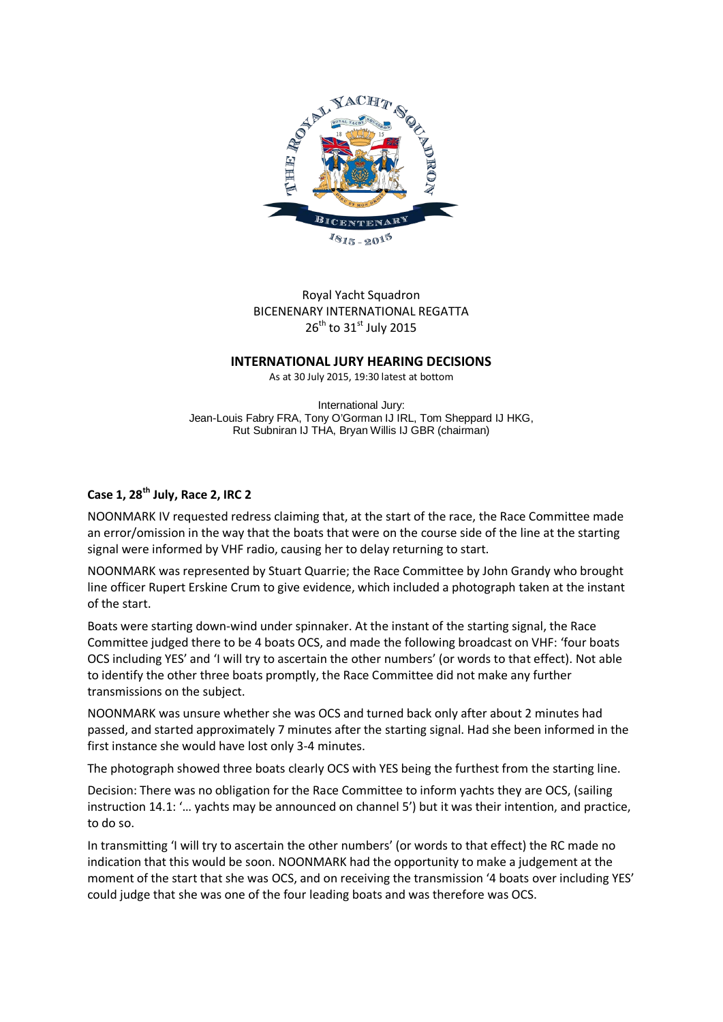

# Royal Yacht Squadron BICENENARY INTERNATIONAL REGATTA  $26^{th}$  to 31st July 2015

#### **INTERNATIONAL JURY HEARING DECISIONS**

As at 30 July 2015, 19:30 latest at bottom

International Jury: Jean-Louis Fabry FRA, Tony O'Gorman IJ IRL, Tom Sheppard IJ HKG, Rut Subniran IJ THA, Bryan Willis IJ GBR (chairman)

## **Case 1, 28th July, Race 2, IRC 2**

NOONMARK IV requested redress claiming that, at the start of the race, the Race Committee made an error/omission in the way that the boats that were on the course side of the line at the starting signal were informed by VHF radio, causing her to delay returning to start.

NOONMARK was represented by Stuart Quarrie; the Race Committee by John Grandy who brought line officer Rupert Erskine Crum to give evidence, which included a photograph taken at the instant of the start.

Boats were starting down-wind under spinnaker. At the instant of the starting signal, the Race Committee judged there to be 4 boats OCS, and made the following broadcast on VHF: 'four boats OCS including YES' and 'I will try to ascertain the other numbers' (or words to that effect). Not able to identify the other three boats promptly, the Race Committee did not make any further transmissions on the subject.

NOONMARK was unsure whether she was OCS and turned back only after about 2 minutes had passed, and started approximately 7 minutes after the starting signal. Had she been informed in the first instance she would have lost only 3-4 minutes.

The photograph showed three boats clearly OCS with YES being the furthest from the starting line.

Decision: There was no obligation for the Race Committee to inform yachts they are OCS, (sailing instruction 14.1: '… yachts may be announced on channel 5') but it was their intention, and practice, to do so.

In transmitting 'I will try to ascertain the other numbers' (or words to that effect) the RC made no indication that this would be soon. NOONMARK had the opportunity to make a judgement at the moment of the start that she was OCS, and on receiving the transmission '4 boats over including YES' could judge that she was one of the four leading boats and was therefore was OCS.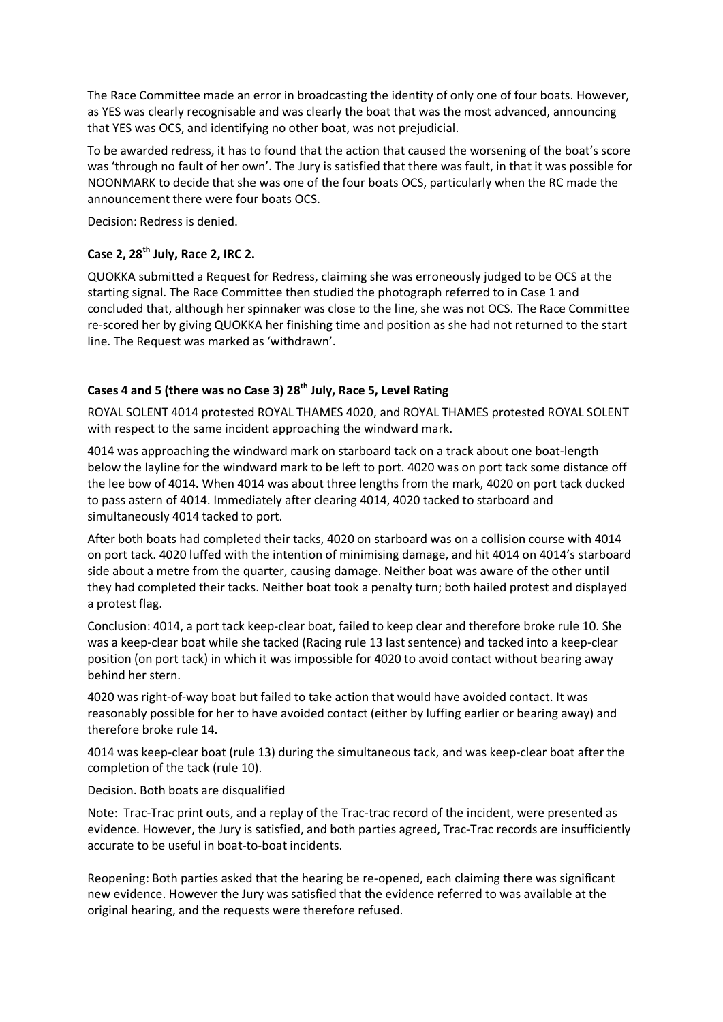The Race Committee made an error in broadcasting the identity of only one of four boats. However, as YES was clearly recognisable and was clearly the boat that was the most advanced, announcing that YES was OCS, and identifying no other boat, was not prejudicial.

To be awarded redress, it has to found that the action that caused the worsening of the boat's score was 'through no fault of her own'. The Jury is satisfied that there was fault, in that it was possible for NOONMARK to decide that she was one of the four boats OCS, particularly when the RC made the announcement there were four boats OCS.

Decision: Redress is denied.

## **Case 2, 28th July, Race 2, IRC 2.**

QUOKKA submitted a Request for Redress, claiming she was erroneously judged to be OCS at the starting signal. The Race Committee then studied the photograph referred to in Case 1 and concluded that, although her spinnaker was close to the line, she was not OCS. The Race Committee re-scored her by giving QUOKKA her finishing time and position as she had not returned to the start line. The Request was marked as 'withdrawn'.

# Cases 4 and 5 (there was no Case 3) 28<sup>th</sup> July, Race 5, Level Rating

ROYAL SOLENT 4014 protested ROYAL THAMES 4020, and ROYAL THAMES protested ROYAL SOLENT with respect to the same incident approaching the windward mark.

4014 was approaching the windward mark on starboard tack on a track about one boat-length below the layline for the windward mark to be left to port. 4020 was on port tack some distance off the lee bow of 4014. When 4014 was about three lengths from the mark, 4020 on port tack ducked to pass astern of 4014. Immediately after clearing 4014, 4020 tacked to starboard and simultaneously 4014 tacked to port.

After both boats had completed their tacks, 4020 on starboard was on a collision course with 4014 on port tack. 4020 luffed with the intention of minimising damage, and hit 4014 on 4014's starboard side about a metre from the quarter, causing damage. Neither boat was aware of the other until they had completed their tacks. Neither boat took a penalty turn; both hailed protest and displayed a protest flag.

Conclusion: 4014, a port tack keep-clear boat, failed to keep clear and therefore broke rule 10. She was a keep-clear boat while she tacked (Racing rule 13 last sentence) and tacked into a keep-clear position (on port tack) in which it was impossible for 4020 to avoid contact without bearing away behind her stern.

4020 was right-of-way boat but failed to take action that would have avoided contact. It was reasonably possible for her to have avoided contact (either by luffing earlier or bearing away) and therefore broke rule 14.

4014 was keep-clear boat (rule 13) during the simultaneous tack, and was keep-clear boat after the completion of the tack (rule 10).

## Decision. Both boats are disqualified

Note: Trac-Trac print outs, and a replay of the Trac-trac record of the incident, were presented as evidence. However, the Jury is satisfied, and both parties agreed, Trac-Trac records are insufficiently accurate to be useful in boat-to-boat incidents.

Reopening: Both parties asked that the hearing be re-opened, each claiming there was significant new evidence. However the Jury was satisfied that the evidence referred to was available at the original hearing, and the requests were therefore refused.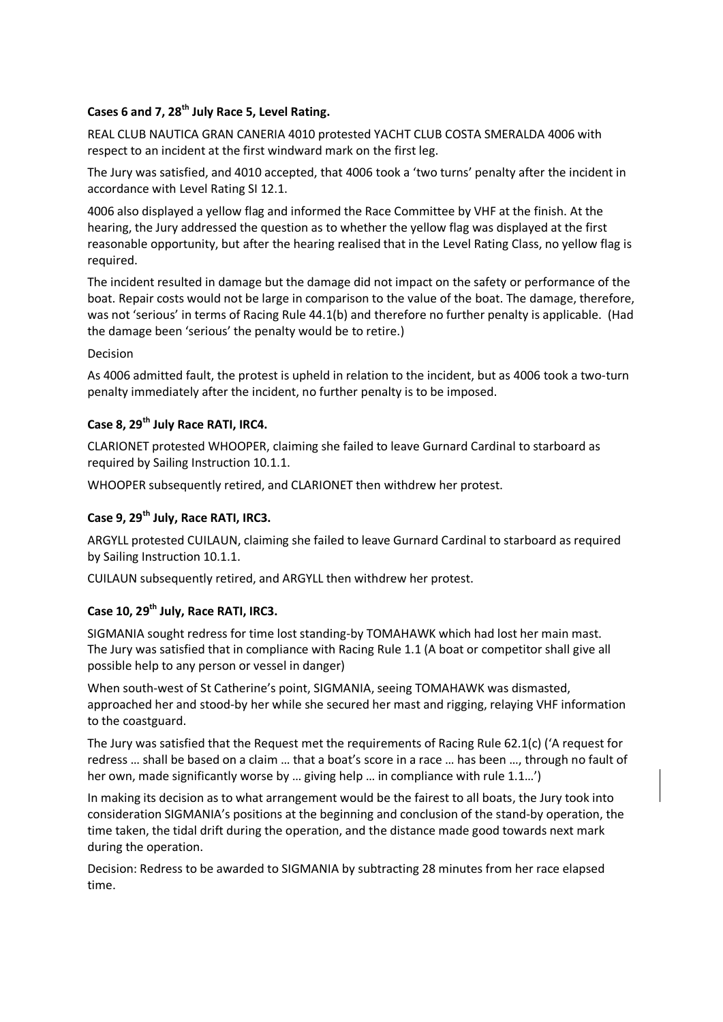# **Cases 6 and 7, 28th July Race 5, Level Rating.**

REAL CLUB NAUTICA GRAN CANERIA 4010 protested YACHT CLUB COSTA SMERALDA 4006 with respect to an incident at the first windward mark on the first leg.

The Jury was satisfied, and 4010 accepted, that 4006 took a 'two turns' penalty after the incident in accordance with Level Rating SI 12.1.

4006 also displayed a yellow flag and informed the Race Committee by VHF at the finish. At the hearing, the Jury addressed the question as to whether the yellow flag was displayed at the first reasonable opportunity, but after the hearing realised that in the Level Rating Class, no yellow flag is required.

The incident resulted in damage but the damage did not impact on the safety or performance of the boat. Repair costs would not be large in comparison to the value of the boat. The damage, therefore, was not 'serious' in terms of Racing Rule 44.1(b) and therefore no further penalty is applicable. (Had the damage been 'serious' the penalty would be to retire.)

## Decision

As 4006 admitted fault, the protest is upheld in relation to the incident, but as 4006 took a two-turn penalty immediately after the incident, no further penalty is to be imposed.

# **Case 8, 29th July Race RATI, IRC4.**

CLARIONET protested WHOOPER, claiming she failed to leave Gurnard Cardinal to starboard as required by Sailing Instruction 10.1.1.

WHOOPER subsequently retired, and CLARIONET then withdrew her protest.

# **Case 9, 29th July, Race RATI, IRC3.**

ARGYLL protested CUILAUN, claiming she failed to leave Gurnard Cardinal to starboard as required by Sailing Instruction 10.1.1.

CUILAUN subsequently retired, and ARGYLL then withdrew her protest.

## **Case 10, 29th July, Race RATI, IRC3.**

SIGMANIA sought redress for time lost standing-by TOMAHAWK which had lost her main mast. The Jury was satisfied that in compliance with Racing Rule 1.1 (A boat or competitor shall give all possible help to any person or vessel in danger)

When south-west of St Catherine's point, SIGMANIA, seeing TOMAHAWK was dismasted, approached her and stood-by her while she secured her mast and rigging, relaying VHF information to the coastguard.

The Jury was satisfied that the Request met the requirements of Racing Rule 62.1(c) ('A request for redress … shall be based on a claim … that a boat's score in a race … has been …, through no fault of her own, made significantly worse by ... giving help ... in compliance with rule 1.1...')

In making its decision as to what arrangement would be the fairest to all boats, the Jury took into consideration SIGMANIA's positions at the beginning and conclusion of the stand-by operation, the time taken, the tidal drift during the operation, and the distance made good towards next mark during the operation.

Decision: Redress to be awarded to SIGMANIA by subtracting 28 minutes from her race elapsed time.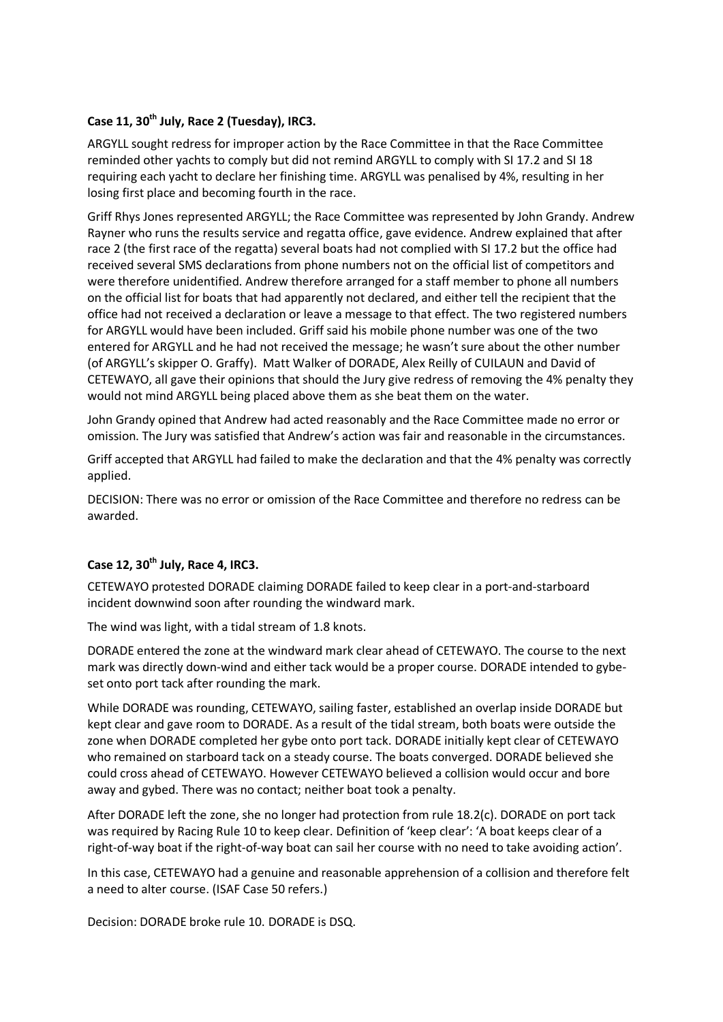#### **Case 11, 30th July, Race 2 (Tuesday), IRC3.**

ARGYLL sought redress for improper action by the Race Committee in that the Race Committee reminded other yachts to comply but did not remind ARGYLL to comply with SI 17.2 and SI 18 requiring each yacht to declare her finishing time. ARGYLL was penalised by 4%, resulting in her losing first place and becoming fourth in the race.

Griff Rhys Jones represented ARGYLL; the Race Committee was represented by John Grandy. Andrew Rayner who runs the results service and regatta office, gave evidence. Andrew explained that after race 2 (the first race of the regatta) several boats had not complied with SI 17.2 but the office had received several SMS declarations from phone numbers not on the official list of competitors and were therefore unidentified. Andrew therefore arranged for a staff member to phone all numbers on the official list for boats that had apparently not declared, and either tell the recipient that the office had not received a declaration or leave a message to that effect. The two registered numbers for ARGYLL would have been included. Griff said his mobile phone number was one of the two entered for ARGYLL and he had not received the message; he wasn't sure about the other number (of ARGYLL's skipper O. Graffy). Matt Walker of DORADE, Alex Reilly of CUILAUN and David of CETEWAYO, all gave their opinions that should the Jury give redress of removing the 4% penalty they would not mind ARGYLL being placed above them as she beat them on the water.

John Grandy opined that Andrew had acted reasonably and the Race Committee made no error or omission. The Jury was satisfied that Andrew's action was fair and reasonable in the circumstances.

Griff accepted that ARGYLL had failed to make the declaration and that the 4% penalty was correctly applied.

DECISION: There was no error or omission of the Race Committee and therefore no redress can be awarded.

## **Case 12, 30th July, Race 4, IRC3.**

CETEWAYO protested DORADE claiming DORADE failed to keep clear in a port-and-starboard incident downwind soon after rounding the windward mark.

The wind was light, with a tidal stream of 1.8 knots.

DORADE entered the zone at the windward mark clear ahead of CETEWAYO. The course to the next mark was directly down-wind and either tack would be a proper course. DORADE intended to gybeset onto port tack after rounding the mark.

While DORADE was rounding, CETEWAYO, sailing faster, established an overlap inside DORADE but kept clear and gave room to DORADE. As a result of the tidal stream, both boats were outside the zone when DORADE completed her gybe onto port tack. DORADE initially kept clear of CETEWAYO who remained on starboard tack on a steady course. The boats converged. DORADE believed she could cross ahead of CETEWAYO. However CETEWAYO believed a collision would occur and bore away and gybed. There was no contact; neither boat took a penalty.

After DORADE left the zone, she no longer had protection from rule 18.2(c). DORADE on port tack was required by Racing Rule 10 to keep clear. Definition of 'keep clear': 'A boat keeps clear of a right-of-way boat if the right-of-way boat can sail her course with no need to take avoiding action'.

In this case, CETEWAYO had a genuine and reasonable apprehension of a collision and therefore felt a need to alter course. (ISAF Case 50 refers.)

Decision: DORADE broke rule 10. DORADE is DSQ.